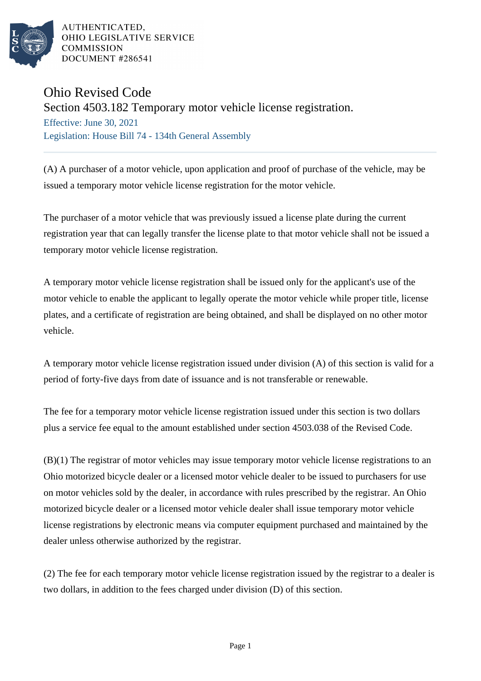

AUTHENTICATED. OHIO LEGISLATIVE SERVICE **COMMISSION** DOCUMENT #286541

## Ohio Revised Code

Section 4503.182 Temporary motor vehicle license registration.

Effective: June 30, 2021 Legislation: House Bill 74 - 134th General Assembly

(A) A purchaser of a motor vehicle, upon application and proof of purchase of the vehicle, may be issued a temporary motor vehicle license registration for the motor vehicle.

The purchaser of a motor vehicle that was previously issued a license plate during the current registration year that can legally transfer the license plate to that motor vehicle shall not be issued a temporary motor vehicle license registration.

A temporary motor vehicle license registration shall be issued only for the applicant's use of the motor vehicle to enable the applicant to legally operate the motor vehicle while proper title, license plates, and a certificate of registration are being obtained, and shall be displayed on no other motor vehicle.

A temporary motor vehicle license registration issued under division (A) of this section is valid for a period of forty-five days from date of issuance and is not transferable or renewable.

The fee for a temporary motor vehicle license registration issued under this section is two dollars plus a service fee equal to the amount established under section 4503.038 of the Revised Code.

(B)(1) The registrar of motor vehicles may issue temporary motor vehicle license registrations to an Ohio motorized bicycle dealer or a licensed motor vehicle dealer to be issued to purchasers for use on motor vehicles sold by the dealer, in accordance with rules prescribed by the registrar. An Ohio motorized bicycle dealer or a licensed motor vehicle dealer shall issue temporary motor vehicle license registrations by electronic means via computer equipment purchased and maintained by the dealer unless otherwise authorized by the registrar.

(2) The fee for each temporary motor vehicle license registration issued by the registrar to a dealer is two dollars, in addition to the fees charged under division (D) of this section.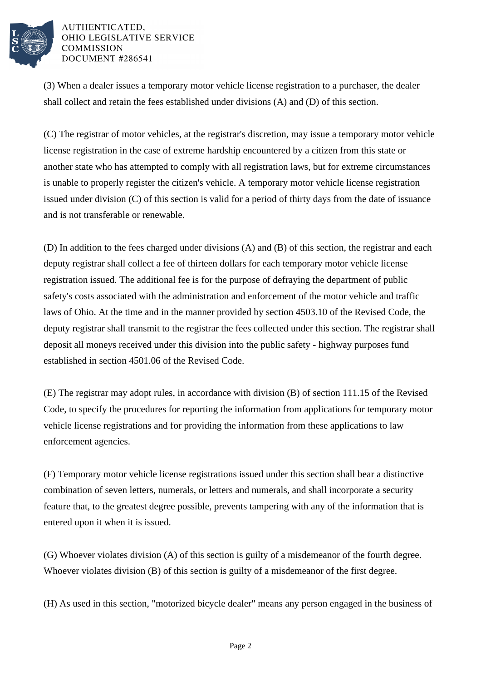

AUTHENTICATED. OHIO LEGISLATIVE SERVICE **COMMISSION** DOCUMENT #286541

(3) When a dealer issues a temporary motor vehicle license registration to a purchaser, the dealer shall collect and retain the fees established under divisions (A) and (D) of this section.

(C) The registrar of motor vehicles, at the registrar's discretion, may issue a temporary motor vehicle license registration in the case of extreme hardship encountered by a citizen from this state or another state who has attempted to comply with all registration laws, but for extreme circumstances is unable to properly register the citizen's vehicle. A temporary motor vehicle license registration issued under division (C) of this section is valid for a period of thirty days from the date of issuance and is not transferable or renewable.

(D) In addition to the fees charged under divisions (A) and (B) of this section, the registrar and each deputy registrar shall collect a fee of thirteen dollars for each temporary motor vehicle license registration issued. The additional fee is for the purpose of defraying the department of public safety's costs associated with the administration and enforcement of the motor vehicle and traffic laws of Ohio. At the time and in the manner provided by section 4503.10 of the Revised Code, the deputy registrar shall transmit to the registrar the fees collected under this section. The registrar shall deposit all moneys received under this division into the public safety - highway purposes fund established in section 4501.06 of the Revised Code.

(E) The registrar may adopt rules, in accordance with division (B) of section 111.15 of the Revised Code, to specify the procedures for reporting the information from applications for temporary motor vehicle license registrations and for providing the information from these applications to law enforcement agencies.

(F) Temporary motor vehicle license registrations issued under this section shall bear a distinctive combination of seven letters, numerals, or letters and numerals, and shall incorporate a security feature that, to the greatest degree possible, prevents tampering with any of the information that is entered upon it when it is issued.

(G) Whoever violates division (A) of this section is guilty of a misdemeanor of the fourth degree. Whoever violates division (B) of this section is guilty of a misdemeanor of the first degree.

(H) As used in this section, "motorized bicycle dealer" means any person engaged in the business of